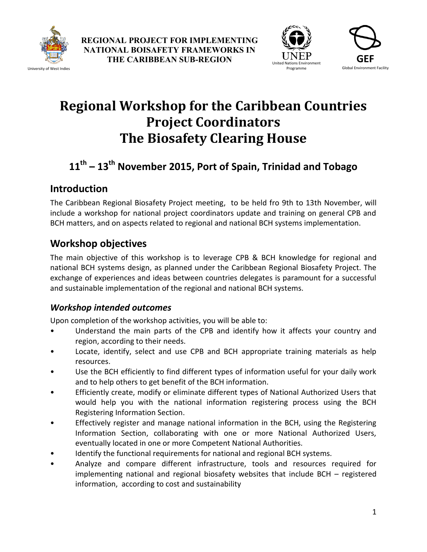

University of West Indies





# **Regional Workshop for the Caribbean Countries Project Coordinators The Biosafety Clearing House**

## **11th – 13th November 2015, Port of Spain, Trinidad and Tobago**

## **Introduction**

The Caribbean Regional Biosafety Project meeting, to be held fro 9th to 13th November, will include a workshop for national project coordinators update and training on general CPB and BCH matters, and on aspects related to regional and national BCH systems implementation.

## **Workshop objectives**

The main objective of this workshop is to leverage CPB & BCH knowledge for regional and national BCH systems design, as planned under the Caribbean Regional Biosafety Project. The exchange of experiences and ideas between countries delegates is paramount for a successful and sustainable implementation of the regional and national BCH systems.

#### *Workshop intended outcomes*

Upon completion of the workshop activities, you will be able to:

- Understand the main parts of the CPB and identify how it affects your country and region, according to their needs.
- Locate, identify, select and use CPB and BCH appropriate training materials as help resources.
- Use the BCH efficiently to find different types of information useful for your daily work and to help others to get benefit of the BCH information.
- Efficiently create, modify or eliminate different types of National Authorized Users that would help you with the national information registering process using the BCH Registering Information Section.
- Effectively register and manage national information in the BCH, using the Registering Information Section, collaborating with one or more National Authorized Users, eventually located in one or more Competent National Authorities.
- Identify the functional requirements for national and regional BCH systems.
- Analyze and compare different infrastructure, tools and resources required for implementing national and regional biosafety websites that include BCH – registered information, according to cost and sustainability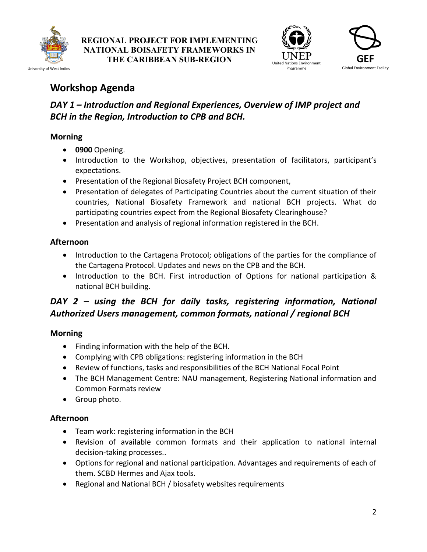

**REGIONAL PROJECT FOR IMPLEMENTING NATIONAL BOISAFETY FRAMEWORKS IN THE CARIBBEAN SUB-REGION** UNLE



## **Workshop Agenda**

### *DAY 1 – Introduction and Regional Experiences, Overview of IMP project and BCH in the Region, Introduction to CPB and BCH.*

#### **Morning**

- **0900** Opening.
- Introduction to the Workshop, objectives, presentation of facilitators, participant's expectations.
- Presentation of the Regional Biosafety Project BCH component,
- Presentation of delegates of Participating Countries about the current situation of their countries, National Biosafety Framework and national BCH projects. What do participating countries expect from the Regional Biosafety Clearinghouse?
- Presentation and analysis of regional information registered in the BCH.

#### **Afternoon**

- Introduction to the Cartagena Protocol; obligations of the parties for the compliance of the Cartagena Protocol. Updates and news on the CPB and the BCH.
- Introduction to the BCH. First introduction of Options for national participation & national BCH building.

## *DAY 2 – using the BCH for daily tasks, registering information, National Authorized Users management, common formats, national / regional BCH*

#### **Morning**

- Finding information with the help of the BCH.
- Complying with CPB obligations: registering information in the BCH
- Review of functions, tasks and responsibilities of the BCH National Focal Point
- The BCH Management Centre: NAU management, Registering National information and Common Formats review
- Group photo.

#### **Afternoon**

- Team work: registering information in the BCH
- Revision of available common formats and their application to national internal decision-taking processes..
- Options for regional and national participation. Advantages and requirements of each of them. SCBD Hermes and Ajax tools.
- Regional and National BCH / biosafety websites requirements